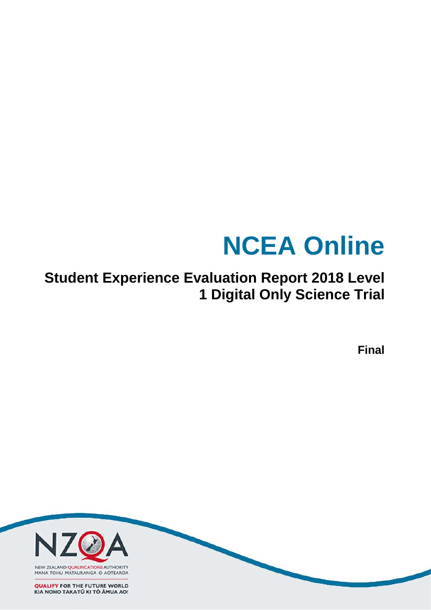# **NCEA Online**

**Student Experience Evaluation Report 2018 Level 1 Digital Only Science Trial**

**Final**

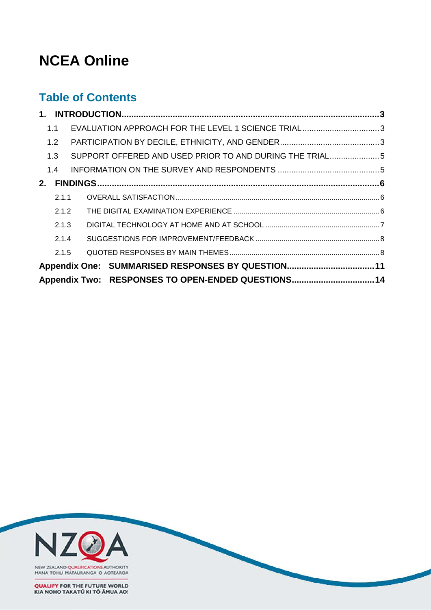# **NCEA Online**

# **Table of Contents**

| 1.1   | EVALUATION APPROACH FOR THE LEVEL 1 SCIENCE TRIAL3      |  |
|-------|---------------------------------------------------------|--|
| 1.2   |                                                         |  |
| 1.3   | SUPPORT OFFERED AND USED PRIOR TO AND DURING THE TRIAL5 |  |
| 1.4   |                                                         |  |
| 2.    |                                                         |  |
| 2.1.1 |                                                         |  |
| 2.1.2 |                                                         |  |
| 2.1.3 |                                                         |  |
| 2.1.4 |                                                         |  |
| 2.1.5 |                                                         |  |
|       | Appendix One: SUMMARISED RESPONSES BY QUESTION11        |  |
|       | Appendix Two: RESPONSES TO OPEN-ENDED QUESTIONS14       |  |

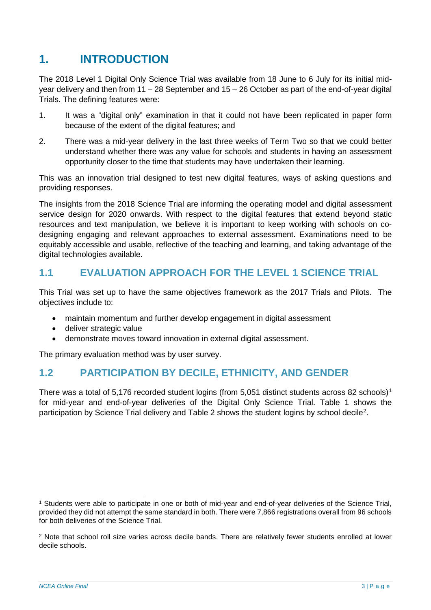# <span id="page-2-0"></span>**1. INTRODUCTION**

The 2018 Level 1 Digital Only Science Trial was available from 18 June to 6 July for its initial midyear delivery and then from 11 – 28 September and 15 – 26 October as part of the end-of-year digital Trials. The defining features were:

- 1. It was a "digital only" examination in that it could not have been replicated in paper form because of the extent of the digital features; and
- 2. There was a mid-year delivery in the last three weeks of Term Two so that we could better understand whether there was any value for schools and students in having an assessment opportunity closer to the time that students may have undertaken their learning.

This was an innovation trial designed to test new digital features, ways of asking questions and providing responses.

The insights from the 2018 Science Trial are informing the operating model and digital assessment service design for 2020 onwards. With respect to the digital features that extend beyond static resources and text manipulation, we believe it is important to keep working with schools on codesigning engaging and relevant approaches to external assessment. Examinations need to be equitably accessible and usable, reflective of the teaching and learning, and taking advantage of the digital technologies available.

# <span id="page-2-1"></span>**1.1 EVALUATION APPROACH FOR THE LEVEL 1 SCIENCE TRIAL**

This Trial was set up to have the same objectives framework as the 2017 Trials and Pilots. The objectives include to:

- maintain momentum and further develop engagement in digital assessment
- deliver strategic value
- demonstrate moves toward innovation in external digital assessment.

The primary evaluation method was by user survey.

## <span id="page-2-2"></span>**1.2 PARTICIPATION BY DECILE, ETHNICITY, AND GENDER**

There was a total of 5,[1](#page-2-3)76 recorded student logins (from 5,051 distinct students across 82 schools)<sup>1</sup> for mid-year and end-of-year deliveries of the Digital Only Science Trial. [Table 1](#page-3-0) shows the participation by Science Trial delivery and [Table 2](#page-3-1) shows the student logins by school decile<sup>[2](#page-2-4)</sup>.

<span id="page-2-3"></span> <sup>1</sup> Students were able to participate in one or both of mid-year and end-of-year deliveries of the Science Trial, provided they did not attempt the same standard in both. There were 7,866 registrations overall from 96 schools for both deliveries of the Science Trial.

<span id="page-2-4"></span><sup>2</sup> Note that school roll size varies across decile bands. There are relatively fewer students enrolled at lower decile schools.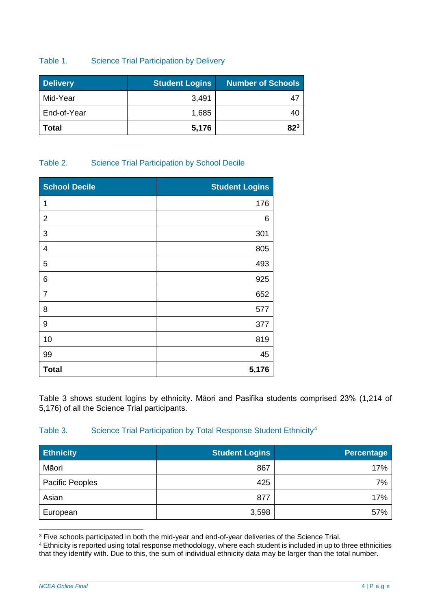#### <span id="page-3-0"></span>Table 1. Science Trial Participation by Delivery

| <b>Delivery</b> | <b>Student Logins</b> | <b>Number of Schools</b> |
|-----------------|-----------------------|--------------------------|
| Mid-Year        | 3,491                 |                          |
| End-of-Year     | 1,685                 |                          |
| Total           | 5,176                 | 823                      |

#### <span id="page-3-1"></span>Table 2. Science Trial Participation by School Decile

| <b>School Decile</b> | <b>Student Logins</b> |
|----------------------|-----------------------|
| 1                    | 176                   |
| $\overline{2}$       | 6                     |
| 3                    | 301                   |
| 4                    | 805                   |
| 5                    | 493                   |
| 6                    | 925                   |
| 7                    | 652                   |
| 8                    | 577                   |
| $\boldsymbol{9}$     | 377                   |
| 10                   | 819                   |
| 99                   | 45                    |
| <b>Total</b>         | 5,176                 |

[Table 3](#page-3-2) shows student logins by ethnicity. Māori and Pasifika students comprised 23% (1,214 of 5,176) of all the Science Trial participants.

#### <span id="page-3-2"></span>Table 3. Science Trial Participation by Total Response Student Ethnicity<sup>[4](#page-3-4)</sup>

| <b>Ethnicity</b> | <b>Student Logins</b> | <b>Percentage</b> |
|------------------|-----------------------|-------------------|
| Māori            | 867                   | 17%               |
| Pacific Peoples  | 425                   | 7%                |
| Asian            | 877                   | 17%               |
| European         | 3,598                 | 57%               |

<span id="page-3-3"></span> <sup>3</sup> Five schools participated in both the mid-year and end-of-year deliveries of the Science Trial.

<span id="page-3-4"></span><sup>4</sup> Ethnicity is reported using total response methodology, where each student is included in up to three ethnicities that they identify with. Due to this, the sum of individual ethnicity data may be larger than the total number.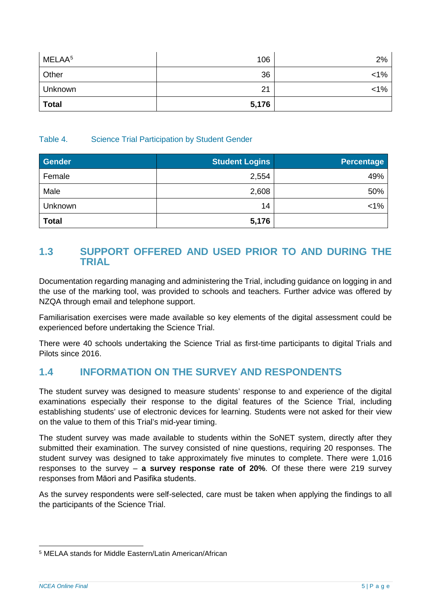| MELAA <sup>5</sup> | 106   | 2%      |
|--------------------|-------|---------|
| Other              | 36    | $<1\%$  |
| Unknown            | 21    | $< 1\%$ |
| <b>Total</b>       | 5,176 |         |

#### Table 4. Science Trial Participation by Student Gender

| <b>Gender</b> | <b>Student Logins</b> | <b>Percentage</b> |
|---------------|-----------------------|-------------------|
| Female        | 2,554                 | 49%               |
| Male          | 2,608                 | 50%               |
| Unknown       | 14                    | $< 1\%$           |
| <b>Total</b>  | 5,176                 |                   |

## <span id="page-4-0"></span>**1.3 SUPPORT OFFERED AND USED PRIOR TO AND DURING THE TRIAL**

Documentation regarding managing and administering the Trial, including guidance on logging in and the use of the marking tool, was provided to schools and teachers. Further advice was offered by NZQA through email and telephone support.

Familiarisation exercises were made available so key elements of the digital assessment could be experienced before undertaking the Science Trial.

There were 40 schools undertaking the Science Trial as first-time participants to digital Trials and Pilots since 2016.

# <span id="page-4-1"></span>**1.4 INFORMATION ON THE SURVEY AND RESPONDENTS**

The student survey was designed to measure students' response to and experience of the digital examinations especially their response to the digital features of the Science Trial, including establishing students' use of electronic devices for learning. Students were not asked for their view on the value to them of this Trial's mid-year timing.

The student survey was made available to students within the SoNET system, directly after they submitted their examination. The survey consisted of nine questions, requiring 20 responses. The student survey was designed to take approximately five minutes to complete. There were 1,016 responses to the survey ‒ **a survey response rate of 20%**. Of these there were 219 survey responses from Māori and Pasifika students.

As the survey respondents were self-selected, care must be taken when applying the findings to all the participants of the Science Trial.

<span id="page-4-2"></span> <sup>5</sup> MELAA stands for Middle Eastern/Latin American/African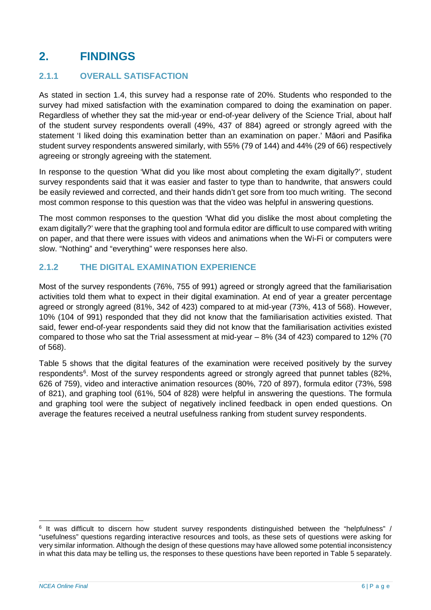# <span id="page-5-0"></span>**2. FINDINGS**

### <span id="page-5-1"></span>**2.1.1 OVERALL SATISFACTION**

As stated in section 1.4, this survey had a response rate of 20%. Students who responded to the survey had mixed satisfaction with the examination compared to doing the examination on paper. Regardless of whether they sat the mid-year or end-of-year delivery of the Science Trial, about half of the student survey respondents overall (49%, 437 of 884) agreed or strongly agreed with the statement 'I liked doing this examination better than an examination on paper.' Māori and Pasifika student survey respondents answered similarly, with 55% (79 of 144) and 44% (29 of 66) respectively agreeing or strongly agreeing with the statement.

In response to the question 'What did you like most about completing the exam digitally?', student survey respondents said that it was easier and faster to type than to handwrite, that answers could be easily reviewed and corrected, and their hands didn't get sore from too much writing. The second most common response to this question was that the video was helpful in answering questions.

The most common responses to the question 'What did you dislike the most about completing the exam digitally?' were that the graphing tool and formula editor are difficult to use compared with writing on paper, and that there were issues with videos and animations when the Wi-Fi or computers were slow. "Nothing" and "everything" were responses here also.

### <span id="page-5-2"></span>**2.1.2 THE DIGITAL EXAMINATION EXPERIENCE**

Most of the survey respondents (76%, 755 of 991) agreed or strongly agreed that the familiarisation activities told them what to expect in their digital examination. At end of year a greater percentage agreed or strongly agreed (81%, 342 of 423) compared to at mid-year (73%, 413 of 568). However, 10% (104 of 991) responded that they did not know that the familiarisation activities existed. That said, fewer end-of-year respondents said they did not know that the familiarisation activities existed compared to those who sat the Trial assessment at mid-year – 8% (34 of 423) compared to 12% (70 of 568).

[Table 5](#page-6-1) shows that the digital features of the examination were received positively by the survey respondents<sup>[6](#page-5-3)</sup>. Most of the survey respondents agreed or strongly agreed that punnet tables (82%, 626 of 759), video and interactive animation resources (80%, 720 of 897), formula editor (73%, 598 of 821), and graphing tool (61%, 504 of 828) were helpful in answering the questions. The formula and graphing tool were the subject of negatively inclined feedback in open ended questions. On average the features received a neutral usefulness ranking from student survey respondents.

<span id="page-5-3"></span> <sup>6</sup> It was difficult to discern how student survey respondents distinguished between the "helpfulness" / "usefulness" questions regarding interactive resources and tools, as these sets of questions were asking for very similar information. Although the design of these questions may have allowed some potential inconsistency in what this data may be telling us, the responses to these questions have been reported in [Table 5](#page-6-1) separately.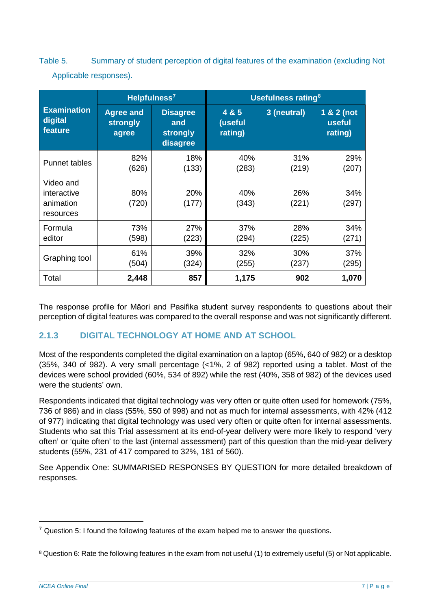<span id="page-6-1"></span>Table 5. Summary of student perception of digital features of the examination (excluding Not Applicable responses).

|                                                    |                                       | Helpfulness <sup>7</sup>                       | <b>Usefulness rating<sup>8</sup></b> |              |                                 |  |
|----------------------------------------------------|---------------------------------------|------------------------------------------------|--------------------------------------|--------------|---------------------------------|--|
| <b>Examination</b><br>digital<br>feature           | <b>Agree and</b><br>strongly<br>agree | <b>Disagree</b><br>and<br>strongly<br>disagree | 4 & 5<br>(useful<br>rating)          | 3 (neutral)  | 1 & 2 (not<br>useful<br>rating) |  |
| <b>Punnet tables</b>                               | 82%<br>(626)                          | 18%<br>(133)                                   | 40%<br>(283)                         | 31%<br>(219) | 29%<br>(207)                    |  |
| Video and<br>interactive<br>animation<br>resources | 80%<br>(720)                          | 20%<br>(177)                                   | 40%<br>(343)                         | 26%<br>(221) | 34%<br>(297)                    |  |
| Formula<br>editor                                  | 73%<br>(598)                          | 27%<br>(223)                                   | 37%<br>(294)                         | 28%<br>(225) | 34%<br>(271)                    |  |
| Graphing tool                                      | 61%<br>(504)                          | 39%<br>(324)                                   | 32%<br>(255)                         | 30%<br>(237) | 37%<br>(295)                    |  |
| Total                                              | 2,448                                 | 857                                            | 1,175                                | 902          | 1,070                           |  |

The response profile for Māori and Pasifika student survey respondents to questions about their perception of digital features was compared to the overall response and was not significantly different.

## <span id="page-6-0"></span>**2.1.3 DIGITAL TECHNOLOGY AT HOME AND AT SCHOOL**

Most of the respondents completed the digital examination on a laptop (65%, 640 of 982) or a desktop (35%, 340 of 982). A very small percentage (<1%, 2 of 982) reported using a tablet. Most of the devices were school provided (60%, 534 of 892) while the rest (40%, 358 of 982) of the devices used were the students' own.

Respondents indicated that digital technology was very often or quite often used for homework (75%, 736 of 986) and in class (55%, 550 of 998) and not as much for internal assessments, with 42% (412 of 977) indicating that digital technology was used very often or quite often for internal assessments. Students who sat this Trial assessment at its end-of-year delivery were more likely to respond 'very often' or 'quite often' to the last (internal assessment) part of this question than the mid-year delivery students (55%, 231 of 417 compared to 32%, 181 of 560).

See [Appendix One:](#page-10-0) [SUMMARISED RESPONSES BY QUESTION](#page-10-0) for more detailed breakdown of responses.

<span id="page-6-2"></span> $7$  Question 5: I found the following features of the exam helped me to answer the questions.

<span id="page-6-3"></span><sup>&</sup>lt;sup>8</sup> Question 6: Rate the following features in the exam from not useful (1) to extremely useful (5) or Not applicable.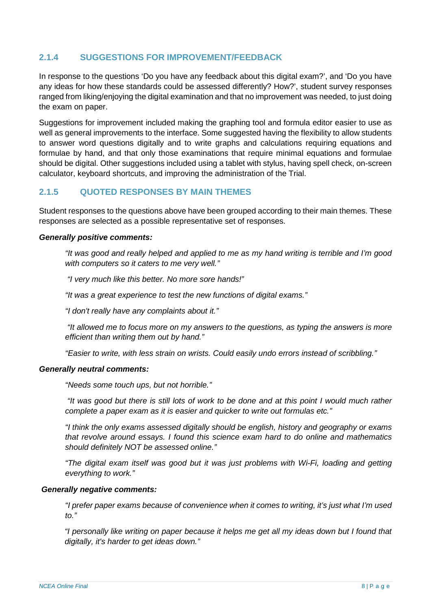### <span id="page-7-0"></span>**2.1.4 SUGGESTIONS FOR IMPROVEMENT/FEEDBACK**

In response to the questions 'Do you have any feedback about this digital exam?', and 'Do you have any ideas for how these standards could be assessed differently? How?', student survey responses ranged from liking/enjoying the digital examination and that no improvement was needed, to just doing the exam on paper.

Suggestions for improvement included making the graphing tool and formula editor easier to use as well as general improvements to the interface. Some suggested having the flexibility to allow students to answer word questions digitally and to write graphs and calculations requiring equations and formulae by hand, and that only those examinations that require minimal equations and formulae should be digital. Other suggestions included using a tablet with stylus, having spell check, on-screen calculator, keyboard shortcuts, and improving the administration of the Trial.

#### <span id="page-7-1"></span>**2.1.5 QUOTED RESPONSES BY MAIN THEMES**

Student responses to the questions above have been grouped according to their main themes. These responses are selected as a possible representative set of responses.

#### *Generally positive comments:*

*"It was good and really helped and applied to me as my hand writing is terrible and I'm good with computers so it caters to me very well."*

*"I very much like this better. No more sore hands!"*

*"It was a great experience to test the new functions of digital exams."*

*"I don't really have any complaints about it."*

*"It allowed me to focus more on my answers to the questions, as typing the answers is more efficient than writing them out by hand."*

*"Easier to write, with less strain on wrists. Could easily undo errors instead of scribbling."*

#### *Generally neutral comments:*

*"Needs some touch ups, but not horrible."*

*"It was good but there is still lots of work to be done and at this point I would much rather complete a paper exam as it is easier and quicker to write out formulas etc."*

*"I think the only exams assessed digitally should be english, history and geography or exams that revolve around essays. I found this science exam hard to do online and mathematics should definitely NOT be assessed online."*

*"The digital exam itself was good but it was just problems with Wi-Fi, loading and getting everything to work."*

#### *Generally negative comments:*

*"I prefer paper exams because of convenience when it comes to writing, it's just what I'm used to."* 

*"I personally like writing on paper because it helps me get all my ideas down but I found that digitally, it's harder to get ideas down."*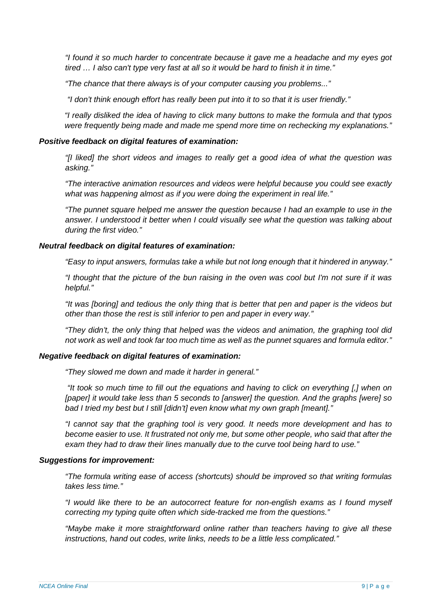*"I found it so much harder to concentrate because it gave me a headache and my eyes got tired … I also can't type very fast at all so it would be hard to finish it in time."*

*"The chance that there always is of your computer causing you problems..."*

*"I don't think enough effort has really been put into it to so that it is user friendly."*

*"I really disliked the idea of having to click many buttons to make the formula and that typos were frequently being made and made me spend more time on rechecking my explanations."*

#### *Positive feedback on digital features of examination:*

*"[I liked] the short videos and images to really get a good idea of what the question was asking."* 

*"The interactive animation resources and videos were helpful because you could see exactly what was happening almost as if you were doing the experiment in real life."*

*"The punnet square helped me answer the question because I had an example to use in the answer. I understood it better when I could visually see what the question was talking about during the first video."*

#### *Neutral feedback on digital features of examination:*

*"Easy to input answers, formulas take a while but not long enough that it hindered in anyway."*

*"I thought that the picture of the bun raising in the oven was cool but I'm not sure if it was helpful."*

*"It was [boring] and tedious the only thing that is better that pen and paper is the videos but other than those the rest is still inferior to pen and paper in every way."*

*"They didn't, the only thing that helped was the videos and animation, the graphing tool did not work as well and took far too much time as well as the punnet squares and formula editor."*

#### *Negative feedback on digital features of examination:*

*"They slowed me down and made it harder in general."*

*"It took so much time to fill out the equations and having to click on everything [,] when on [paper] it would take less than 5 seconds to [answer] the question. And the graphs [were] so bad I tried my best but I still [didn't] even know what my own graph [meant]."*

*"I cannot say that the graphing tool is very good. It needs more development and has to become easier to use. It frustrated not only me, but some other people, who said that after the exam they had to draw their lines manually due to the curve tool being hard to use."*

#### *Suggestions for improvement:*

*"The formula writing ease of access (shortcuts) should be improved so that writing formulas takes less time."*

*"I would like there to be an autocorrect feature for non-english exams as I found myself correcting my typing quite often which side-tracked me from the questions."*

*"Maybe make it more straightforward online rather than teachers having to give all these instructions, hand out codes, write links, needs to be a little less complicated."*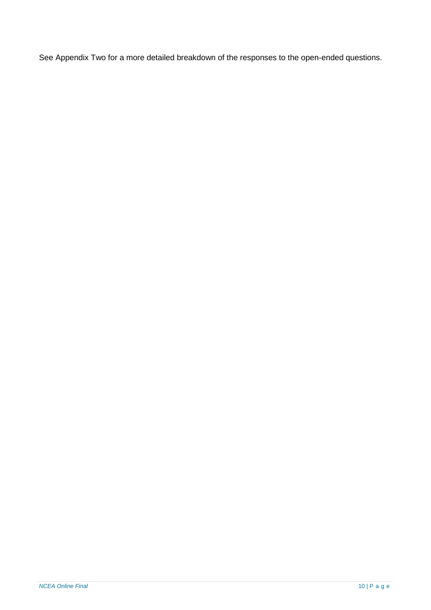See Appendix Two for a more detailed breakdown of the responses to the open-ended questions.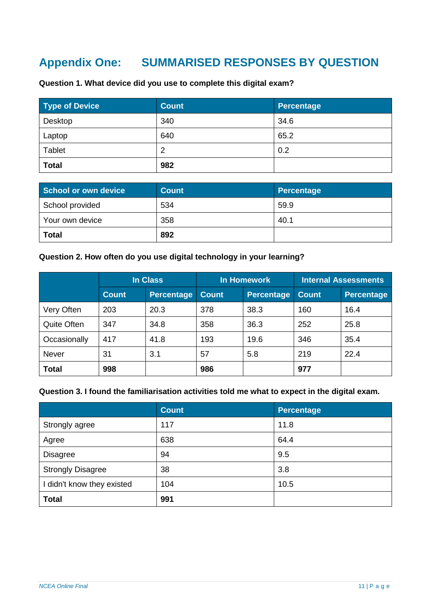# <span id="page-10-0"></span>**Appendix One: SUMMARISED RESPONSES BY QUESTION**

| <b>Type of Device</b> | <b>Count</b> | <b>Percentage</b> |
|-----------------------|--------------|-------------------|
| Desktop               | 340          | 34.6              |
| Laptop                | 640          | 65.2              |
| Tablet                | 2            | 0.2               |
| <b>Total</b>          | 982          |                   |

**Question 1. What device did you use to complete this digital exam?**

| School or own device | <b>Count</b> | Percentage |
|----------------------|--------------|------------|
| School provided      | 534          | 59.9       |
| Your own device      | 358          | 40.1       |
| <b>Total</b>         | 892          |            |

#### **Question 2. How often do you use digital technology in your learning?**

|              | <b>In Class</b> |            | In Homework  |            | <b>Internal Assessments</b> |            |
|--------------|-----------------|------------|--------------|------------|-----------------------------|------------|
|              | <b>Count</b>    | Percentage | <b>Count</b> | Percentage | <b>Count</b>                | Percentage |
| Very Often   | 203             | 20.3       | 378          | 38.3       | 160                         | 16.4       |
| Quite Often  | 347             | 34.8       | 358          | 36.3       | 252                         | 25.8       |
| Occasionally | 417             | 41.8       | 193          | 19.6       | 346                         | 35.4       |
| <b>Never</b> | 31              | 3.1        | 57           | 5.8        | 219                         | 22.4       |
| <b>Total</b> | 998             |            | 986          |            | 977                         |            |

#### **Question 3. I found the familiarisation activities told me what to expect in the digital exam.**

|                            | <b>Count</b> | Percentage |
|----------------------------|--------------|------------|
| Strongly agree             | 117          | 11.8       |
| Agree                      | 638          | 64.4       |
| <b>Disagree</b>            | 94           | 9.5        |
| <b>Strongly Disagree</b>   | 38           | 3.8        |
| I didn't know they existed | 104          | 10.5       |
| <b>Total</b>               | 991          |            |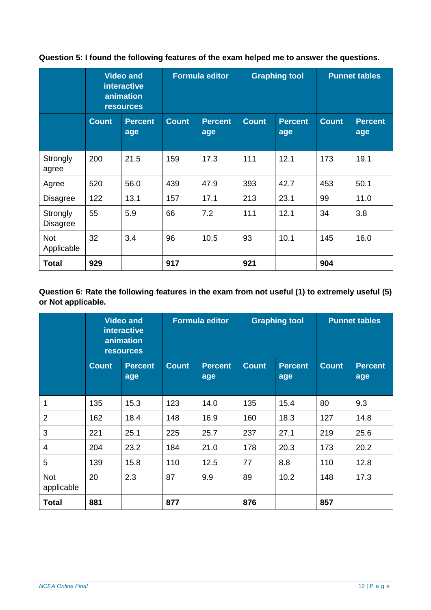**Question 5: I found the following features of the exam helped me to answer the questions.**

|                             | <b>Video and</b><br><b>interactive</b><br>animation<br><b>resources</b> |                       |              | <b>Formula editor</b> | <b>Graphing tool</b> |                       | <b>Punnet tables</b> |                       |
|-----------------------------|-------------------------------------------------------------------------|-----------------------|--------------|-----------------------|----------------------|-----------------------|----------------------|-----------------------|
|                             | <b>Count</b>                                                            | <b>Percent</b><br>age | <b>Count</b> | <b>Percent</b><br>age | <b>Count</b>         | <b>Percent</b><br>age | <b>Count</b>         | <b>Percent</b><br>age |
| Strongly<br>agree           | 200                                                                     | 21.5                  | 159          | 17.3                  | 111                  | 12.1                  | 173                  | 19.1                  |
| Agree                       | 520                                                                     | 56.0                  | 439          | 47.9                  | 393                  | 42.7                  | 453                  | 50.1                  |
| <b>Disagree</b>             | 122                                                                     | 13.1                  | 157          | 17.1                  | 213                  | 23.1                  | 99                   | 11.0                  |
| Strongly<br><b>Disagree</b> | 55                                                                      | 5.9                   | 66           | 7.2                   | 111                  | 12.1                  | 34                   | 3.8                   |
| <b>Not</b><br>Applicable    | 32                                                                      | 3.4                   | 96           | 10.5                  | 93                   | 10.1                  | 145                  | 16.0                  |
| <b>Total</b>                | 929                                                                     |                       | 917          |                       | 921                  |                       | 904                  |                       |

### **Question 6: Rate the following features in the exam from not useful (1) to extremely useful (5) or Not applicable.**

|                          | <b>Video and</b><br><b>interactive</b><br>animation<br><b>resources</b> |                       | <b>Formula editor</b> |                       | <b>Graphing tool</b> |                       | <b>Punnet tables</b> |                       |
|--------------------------|-------------------------------------------------------------------------|-----------------------|-----------------------|-----------------------|----------------------|-----------------------|----------------------|-----------------------|
|                          | <b>Count</b>                                                            | <b>Percent</b><br>age | <b>Count</b>          | <b>Percent</b><br>age | <b>Count</b>         | <b>Percent</b><br>age | <b>Count</b>         | <b>Percent</b><br>age |
| $\mathbf{1}$             | 135                                                                     | 15.3                  | 123                   | 14.0                  | 135                  | 15.4                  | 80                   | 9.3                   |
| $\overline{2}$           | 162                                                                     | 18.4                  | 148                   | 16.9                  | 160                  | 18.3                  | 127                  | 14.8                  |
| 3                        | 221                                                                     | 25.1                  | 225                   | 25.7                  | 237                  | 27.1                  | 219                  | 25.6                  |
| 4                        | 204                                                                     | 23.2                  | 184                   | 21.0                  | 178                  | 20.3                  | 173                  | 20.2                  |
| 5                        | 139                                                                     | 15.8                  | 110                   | 12.5                  | 77                   | 8.8                   | 110                  | 12.8                  |
| <b>Not</b><br>applicable | 20                                                                      | 2.3                   | 87                    | 9.9                   | 89                   | 10.2                  | 148                  | 17.3                  |
| <b>Total</b>             | 881                                                                     |                       | 877                   |                       | 876                  |                       | 857                  |                       |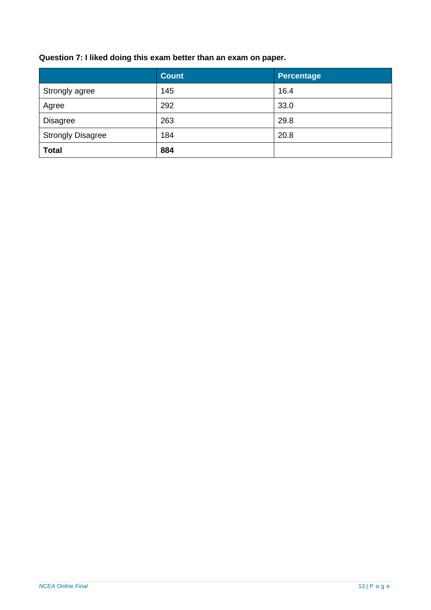# **Question 7: I liked doing this exam better than an exam on paper.**

|                          | <b>Count</b> | <b>Percentage</b> |  |
|--------------------------|--------------|-------------------|--|
| Strongly agree           | 145          | 16.4              |  |
| Agree                    | 292          | 33.0              |  |
| <b>Disagree</b>          | 263          | 29.8              |  |
| <b>Strongly Disagree</b> | 184          | 20.8              |  |
| <b>Total</b>             | 884          |                   |  |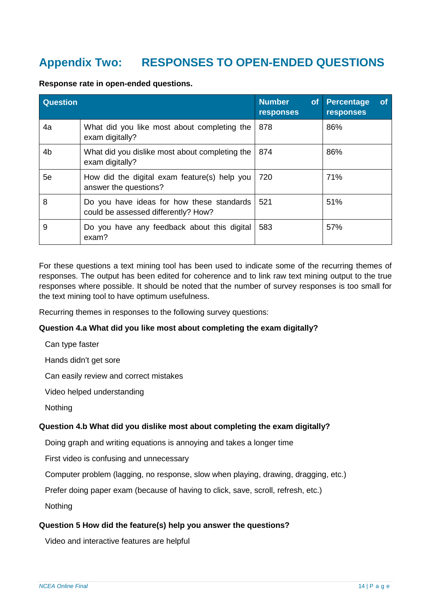# <span id="page-13-0"></span>**Appendix Two: RESPONSES TO OPEN-ENDED QUESTIONS**

| <b>Question</b> |                                                                                  | <b>Number</b><br>of<br>responses | <b>Percentage</b><br><b>of</b><br>responses |
|-----------------|----------------------------------------------------------------------------------|----------------------------------|---------------------------------------------|
| 4a              | What did you like most about completing the<br>exam digitally?                   | 878                              | 86%                                         |
| 4b              | What did you dislike most about completing the<br>exam digitally?                | 874                              | 86%                                         |
| 5e              | How did the digital exam feature(s) help you<br>answer the questions?            | 720                              | 71%                                         |
| 8               | Do you have ideas for how these standards<br>could be assessed differently? How? | 521                              | 51%                                         |
| 9               | Do you have any feedback about this digital<br>exam?                             | 583                              | 57%                                         |

**Response rate in open-ended questions.** 

For these questions a text mining tool has been used to indicate some of the recurring themes of responses. The output has been edited for coherence and to link raw text mining output to the true responses where possible. It should be noted that the number of survey responses is too small for the text mining tool to have optimum usefulness.

Recurring themes in responses to the following survey questions:

#### **Question 4.a What did you like most about completing the exam digitally?**

Can type faster

Hands didn't get sore

Can easily review and correct mistakes

Video helped understanding

Nothing

#### **Question 4.b What did you dislike most about completing the exam digitally?**

Doing graph and writing equations is annoying and takes a longer time

First video is confusing and unnecessary

Computer problem (lagging, no response, slow when playing, drawing, dragging, etc.)

Prefer doing paper exam (because of having to click, save, scroll, refresh, etc.)

**Nothing** 

#### **Question 5 How did the feature(s) help you answer the questions?**

Video and interactive features are helpful